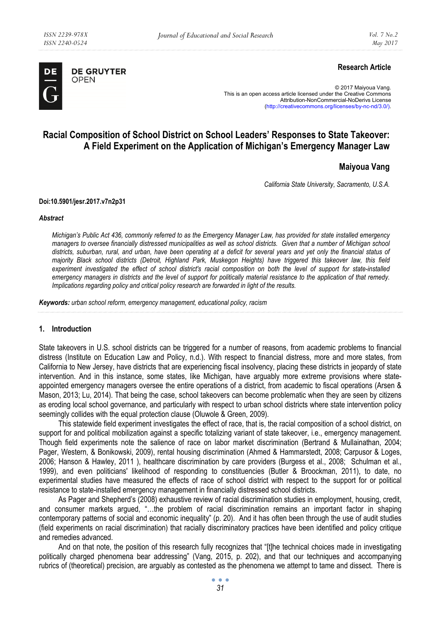

**DE GRUYTER** OPEN

# **Research Article**

© 2017 Maiyoua Vang. This is an open access article licensed under the Creative Commons Attribution-NonCommercial-NoDerivs License (http://creativecommons.org/licenses/by-nc-nd/3.0/).

# **Racial Composition of School District on School Leaders' Responses to State Takeover: A Field Experiment on the Application of Michigan's Emergency Manager Law**

## **Maiyoua Vang**

*California State University, Sacramento, U.S.A.* 

#### **Doi:10.5901/jesr.2017.v7n2p31**

#### *Abstract*

*Michigan's Public Act 436, commonly referred to as the Emergency Manager Law, has provided for state installed emergency managers to oversee financially distressed municipalities as well as school districts. Given that a number of Michigan school districts, suburban, rural, and urban, have been operating at a deficit for several years and yet only the financial status of majority Black school districts (Detroit, Highland Park, Muskegon Heights) have triggered this takeover law, this field experiment investigated the effect of school district's racial composition on both the level of support for state-installed emergency managers in districts and the level of support for politically material resistance to the application of that remedy. Implications regarding policy and critical policy research are forwarded in light of the results.* 

*Keywords: urban school reform, emergency management, educational policy, racism* 

#### **1. Introduction**

State takeovers in U.S. school districts can be triggered for a number of reasons, from academic problems to financial distress (Institute on Education Law and Policy, n.d.). With respect to financial distress, more and more states, from California to New Jersey, have districts that are experiencing fiscal insolvency, placing these districts in jeopardy of state intervention. And in this instance, some states, like Michigan, have arguably more extreme provisions where stateappointed emergency managers oversee the entire operations of a district, from academic to fiscal operations (Arsen & Mason, 2013; Lu, 2014). That being the case, school takeovers can become problematic when they are seen by citizens as eroding local school governance, and particularly with respect to urban school districts where state intervention policy seemingly collides with the equal protection clause (Oluwole & Green, 2009).

This statewide field experiment investigates the effect of race, that is, the racial composition of a school district, on support for and political mobilization against a specific totalizing variant of state takeover, i.e., emergency management. Though field experiments note the salience of race on labor market discrimination (Bertrand & Mullainathan, 2004; Pager, Western, & Bonikowski, 2009), rental housing discrimination (Ahmed & Hammarstedt, 2008; Carpusor & Loges, 2006; Hanson & Hawley, 2011 ), healthcare discrimination by care providers (Burgess et al., 2008; Schulman et al., 1999), and even politicians' likelihood of responding to constituencies (Butler & Broockman, 2011), to date, no experimental studies have measured the effects of race of school district with respect to the support for or political resistance to state-installed emergency management in financially distressed school districts.

As Pager and Shepherd's (2008) exhaustive review of racial discrimination studies in employment, housing, credit, and consumer markets argued, "…the problem of racial discrimination remains an important factor in shaping contemporary patterns of social and economic inequality" (p. 20). And it has often been through the use of audit studies (field experiments on racial discrimination) that racially discriminatory practices have been identified and policy critique and remedies advanced.

And on that note, the position of this research fully recognizes that "[t]he technical choices made in investigating politically charged phenomena bear addressing" (Vang, 2015, p. 202), and that our techniques and accompanying rubrics of (theoretical) precision, are arguably as contested as the phenomena we attempt to tame and dissect. There is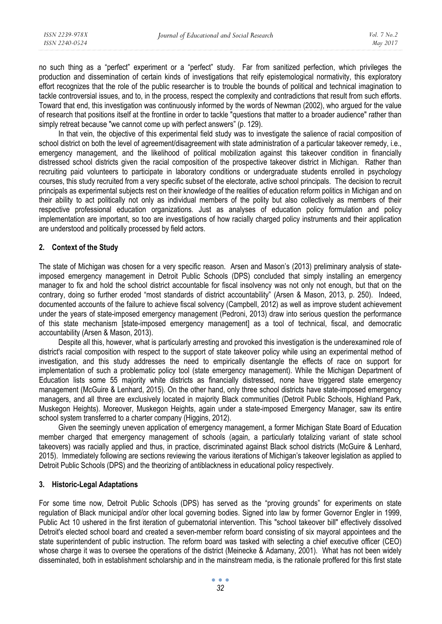no such thing as a "perfect" experiment or a "perfect" study. Far from sanitized perfection, which privileges the production and dissemination of certain kinds of investigations that reify epistemological normativity, this exploratory effort recognizes that the role of the public researcher is to trouble the bounds of political and technical imagination to tackle controversial issues, and to, in the process, respect the complexity and contradictions that result from such efforts. Toward that end, this investigation was continuously informed by the words of Newman (2002), who argued for the value of research that positions itself at the frontline in order to tackle "questions that matter to a broader audience" rather than simply retreat because "we cannot come up with perfect answers" (p. 129).

In that vein, the objective of this experimental field study was to investigate the salience of racial composition of school district on both the level of agreement/disagreement with state administration of a particular takeover remedy, i.e., emergency management, and the likelihood of political mobilization against this takeover condition in financially distressed school districts given the racial composition of the prospective takeover district in Michigan. Rather than recruiting paid volunteers to participate in laboratory conditions or undergraduate students enrolled in psychology courses, this study recruited from a very specific subset of the electorate, active school principals. The decision to recruit principals as experimental subjects rest on their knowledge of the realities of education reform politics in Michigan and on their ability to act politically not only as individual members of the polity but also collectively as members of their respective professional education organizations. Just as analyses of education policy formulation and policy implementation are important, so too are investigations of how racially charged policy instruments and their application are understood and politically processed by field actors.

## **2. Context of the Study**

The state of Michigan was chosen for a very specific reason. Arsen and Mason's (2013) preliminary analysis of stateimposed emergency management in Detroit Public Schools (DPS) concluded that simply installing an emergency manager to fix and hold the school district accountable for fiscal insolvency was not only not enough, but that on the contrary, doing so further eroded "most standards of district accountability" (Arsen & Mason, 2013, p. 250). Indeed, documented accounts of the failure to achieve fiscal solvency (Campbell, 2012) as well as improve student achievement under the years of state-imposed emergency management (Pedroni, 2013) draw into serious question the performance of this state mechanism [state-imposed emergency management] as a tool of technical, fiscal, and democratic accountability (Arsen & Mason, 2013).

Despite all this, however, what is particularly arresting and provoked this investigation is the underexamined role of district's racial composition with respect to the support of state takeover policy while using an experimental method of investigation, and this study addresses the need to empirically disentangle the effects of race on support for implementation of such a problematic policy tool (state emergency management). While the Michigan Department of Education lists some 55 majority white districts as financially distressed, none have triggered state emergency management (McGuire & Lenhard, 2015). On the other hand, only three school districts have state-imposed emergency managers, and all three are exclusively located in majority Black communities (Detroit Public Schools, Highland Park, Muskegon Heights). Moreover, Muskegon Heights, again under a state-imposed Emergency Manager, saw its entire school system transferred to a charter company (Higgins, 2012).

Given the seemingly uneven application of emergency management, a former Michigan State Board of Education member charged that emergency management of schools (again, a particularly totalizing variant of state school takeovers) was racially applied and thus, in practice, discriminated against Black school districts (McGuire & Lenhard, 2015). Immediately following are sections reviewing the various iterations of Michigan's takeover legislation as applied to Detroit Public Schools (DPS) and the theorizing of antiblackness in educational policy respectively.

## **3. Historic-Legal Adaptations**

For some time now, Detroit Public Schools (DPS) has served as the "proving grounds" for experiments on state regulation of Black municipal and/or other local governing bodies. Signed into law by former Governor Engler in 1999, Public Act 10 ushered in the first iteration of gubernatorial intervention. This "school takeover bill" effectively dissolved Detroit's elected school board and created a seven-member reform board consisting of six mayoral appointees and the state superintendent of public instruction. The reform board was tasked with selecting a chief executive officer (CEO) whose charge it was to oversee the operations of the district (Meinecke & Adamany, 2001). What has not been widely disseminated, both in establishment scholarship and in the mainstream media, is the rationale proffered for this first state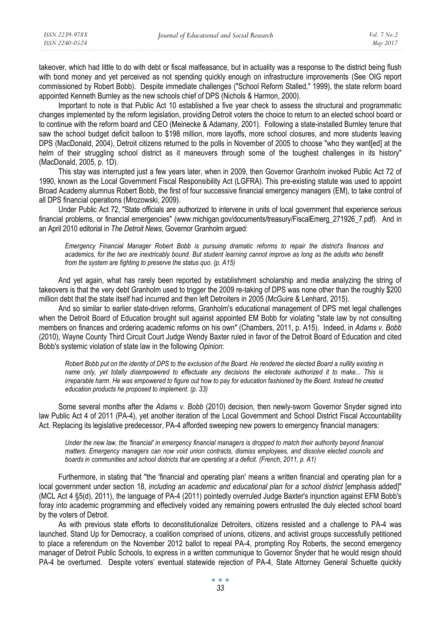takeover, which had little to do with debt or fiscal malfeasance, but in actuality was a response to the district being flush with bond money and yet perceived as not spending quickly enough on infrastructure improvements (See OIG report commissioned by Robert Bobb). Despite immediate challenges ("School Reform Stalled," 1999), the state reform board appointed Kenneth Burnley as the new schools chief of DPS (Nichols & Harmon, 2000).

Important to note is that Public Act 10 established a five year check to assess the structural and programmatic changes implemented by the reform legislation, providing Detroit voters the choice to return to an elected school board or to continue with the reform board and CEO (Meinecke & Adamany, 2001). Following a state-installed Burnley tenure that saw the school budget deficit balloon to \$198 million, more layoffs, more school closures, and more students leaving DPS (MacDonald, 2004), Detroit citizens returned to the polls in November of 2005 to choose "who they want[ed] at the helm of their struggling school district as it maneuvers through some of the toughest challenges in its history" (MacDonald, 2005, p. 1D).

This stay was interrupted just a few years later, when in 2009, then Governor Granholm invoked Public Act 72 of 1990, known as the Local Government Fiscal Responsibility Act (LGFRA). This pre-existing statute was used to appoint Broad Academy alumnus Robert Bobb, the first of four successive financial emergency managers (EM), to take control of all DPS financial operations (Mrozowski, 2009).

Under Public Act 72, "State officials are authorized to intervene in units of local government that experience serious financial problems, or financial emergencies" (www.michigan.gov/documents/treasury/FiscalEmerg\_271926\_7.pdf). And in an April 2010 editorial in *The Detroit News*, Governor Granholm argued:

*Emergency Financial Manager Robert Bobb is pursuing dramatic reforms to repair the district's finances and academics, for the two are inextricably bound. But student learning cannot improve as long as the adults who benefit from the system are fighting to preserve the status quo. (p. A15)* 

And yet again, what has rarely been reported by establishment scholarship and media analyzing the string of takeovers is that the very debt Granholm used to trigger the 2009 re-taking of DPS was none other than the roughly \$200 million debt that the state itself had incurred and then left Detroiters in 2005 (McGuire & Lenhard, 2015).

And so similar to earlier state-driven reforms, Granholm's educational management of DPS met legal challenges when the Detroit Board of Education brought suit against appointed EM Bobb for violating "state law by not consulting members on finances and ordering academic reforms on his own" (Chambers, 2011, p. A15). Indeed, in *Adams v. Bobb* (2010), Wayne County Third Circuit Court Judge Wendy Baxter ruled in favor of the Detroit Board of Education and cited Bobb's systemic violation of state law in the following *Opinion*:

*Robert Bobb put on the identity of DPS to the exclusion of the Board. He rendered the elected Board a nullity existing in name only, yet totally disempowered to effectuate any decisions the electorate authorized it to make... This is irreparable harm. He was empowered to figure out how to pay for education fashioned by the Board. Instead he created education products he proposed to implement. (p. 33)* 

Some several months after the *Adams v. Bobb* (2010) decision, then newly-sworn Governor Snyder signed into law Public Act 4 of 2011 (PA-4), yet another iteration of the Local Government and School District Fiscal Accountability Act. Replacing its legislative predecessor, PA-4 afforded sweeping new powers to emergency financial managers:

*Under the new law, the 'financial' in emergency financial managers is dropped to match their authority beyond financial matters. Emergency managers can now void union contracts, dismiss employees, and dissolve elected councils and boards in communities and school districts that are operating at a deficit. (French, 2011, p. A1)* 

Furthermore, in stating that "the 'financial and operating plan' means a written financial and operating plan for a local government under section 18, *including an academic and educational plan for a school district* [emphasis added]" (MCL Act 4 §5(d), 2011), the language of PA-4 (2011) pointedly overruled Judge Baxter's injunction against EFM Bobb's foray into academic programming and effectively voided any remaining powers entrusted the duly elected school board by the voters of Detroit.

As with previous state efforts to deconstitutionalize Detroiters, citizens resisted and a challenge to PA-4 was launched. Stand Up for Democracy, a coalition comprised of unions, citizens, and activist groups successfully petitioned to place a referendum on the November 2012 ballot to repeal PA-4, prompting Roy Roberts, the second emergency manager of Detroit Public Schools, to express in a written communique to Governor Snyder that he would resign should PA-4 be overturned. Despite voters' eventual statewide rejection of PA-4, State Attorney General Schuette quickly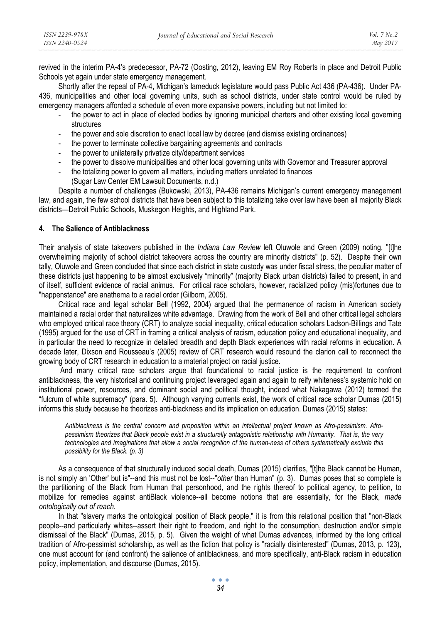revived in the interim PA-4's predecessor, PA-72 (Oosting, 2012), leaving EM Roy Roberts in place and Detroit Public Schools yet again under state emergency management.

Shortly after the repeal of PA-4, Michigan's lameduck legislature would pass Public Act 436 (PA-436). Under PA-436, municipalities and other local governing units, such as school districts, under state control would be ruled by emergency managers afforded a schedule of even more expansive powers, including but not limited to:

- the power to act in place of elected bodies by ignoring municipal charters and other existing local governing structures
- the power and sole discretion to enact local law by decree (and dismiss existing ordinances)
- the power to terminate collective bargaining agreements and contracts
- the power to unilaterally privatize city/department services
- the power to dissolve municipalities and other local governing units with Governor and Treasurer approval
- the totalizing power to govern all matters, including matters unrelated to finances
	- (Sugar Law Center EM Lawsuit Documents, n.d.)

Despite a number of challenges (Bukowski, 2013), PA-436 remains Michigan's current emergency management law, and again, the few school districts that have been subject to this totalizing take over law have been all majority Black districts—Detroit Public Schools, Muskegon Heights, and Highland Park.

## **4. The Salience of Antiblackness**

Their analysis of state takeovers published in the *Indiana Law Review* left Oluwole and Green (2009) noting, "[t]he overwhelming majority of school district takeovers across the country are minority districts" (p. 52). Despite their own tally, Oluwole and Green concluded that since each district in state custody was under fiscal stress, the peculiar matter of these districts just happening to be almost exclusively "minority" (majority Black urban districts) failed to present, in and of itself, sufficient evidence of racial animus. For critical race scholars, however, racialized policy (mis)fortunes due to "happenstance" are anathema to a racial order (Gilborn, 2005).

Critical race and legal scholar Bell (1992, 2004) argued that the permanence of racism in American society maintained a racial order that naturalizes white advantage. Drawing from the work of Bell and other critical legal scholars who employed critical race theory (CRT) to analyze social inequality, critical education scholars Ladson-Billings and Tate (1995) argued for the use of CRT in framing a critical analysis of racism, education policy and educational inequality, and in particular the need to recognize in detailed breadth and depth Black experiences with racial reforms in education. A decade later, Dixson and Rousseau's (2005) review of CRT research would resound the clarion call to reconnect the growing body of CRT research in education to a material project on racial justice.

 And many critical race scholars argue that foundational to racial justice is the requirement to confront antiblackness, the very historical and continuing project leveraged again and again to reify whiteness's systemic hold on institutional power, resources, and dominant social and political thought, indeed what Nakagawa (2012) termed the "fulcrum of white supremacy" (para. 5). Although varying currents exist, the work of critical race scholar Dumas (2015) informs this study because he theorizes anti-blackness and its implication on education. Dumas (2015) states:

*Antiblackness is the central concern and proposition within an intellectual project known as Afro-pessimism. Afropessimism theorizes that Black people exist in a structurally antagonistic relationship with Humanity. That is, the very technologies and imaginations that allow a social recognition of the human-ness of others systematically exclude this possibility for the Black. (p. 3)* 

As a consequence of that structurally induced social death, Dumas (2015) clarifies, "[t]he Black cannot be Human, is not simply an 'Other' but is"--and this must not be lost--"*other* than Human" (p. 3). Dumas poses that so complete is the partitioning of the Black from Human that personhood, and the rights thereof to political agency, to petition, to mobilize for remedies against antiBlack violence--all become notions that are essentially, for the Black, *made ontologically out of reach*.

In that "slavery marks the ontological position of Black people," it is from this relational position that "non-Black people--and particularly whites--assert their right to freedom, and right to the consumption, destruction and/or simple dismissal of the Black" (Dumas, 2015, p. 5). Given the weight of what Dumas advances, informed by the long critical tradition of Afro-pessimist scholarship, as well as the fiction that policy is "racially disinterested" (Dumas, 2013, p. 123), one must account for (and confront) the salience of antiblackness, and more specifically, anti-Black racism in education policy, implementation, and discourse (Dumas, 2015).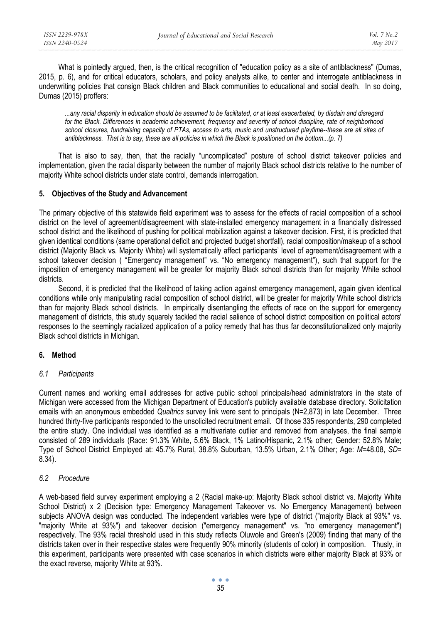What is pointedly argued, then, is the critical recognition of "education policy as a site of antiblackness" (Dumas, 2015, p. 6), and for critical educators, scholars, and policy analysts alike, to center and interrogate antiblackness in underwriting policies that consign Black children and Black communities to educational and social death. In so doing, Dumas (2015) proffers:

*...any racial disparity in education should be assumed to be facilitated, or at least exacerbated, by disdain and disregard for the Black. Differences in academic achievement, frequency and severity of school discipline, rate of neighborhood school closures, fundraising capacity of PTAs, access to arts, music and unstructured playtime--these are all sites of antiblackness. That is to say, these are all policies in which the Black is positioned on the bottom...(p. 7)* 

That is also to say, then, that the racially "uncomplicated" posture of school district takeover policies and implementation, given the racial disparity between the number of majority Black school districts relative to the number of majority White school districts under state control, demands interrogation.

# **5. Objectives of the Study and Advancement**

The primary objective of this statewide field experiment was to assess for the effects of racial composition of a school district on the level of agreement/disagreement with state-installed emergency management in a financially distressed school district and the likelihood of pushing for political mobilization against a takeover decision. First, it is predicted that given identical conditions (same operational deficit and projected budget shortfall), racial composition/makeup of a school district (Majority Black vs. Majority White) will systematically affect participants' level of agreement/disagreement with a school takeover decision ( "Emergency management" vs. "No emergency management"), such that support for the imposition of emergency management will be greater for majority Black school districts than for majority White school districts.

Second, it is predicted that the likelihood of taking action against emergency management, again given identical conditions while only manipulating racial composition of school district, will be greater for majority White school districts than for majority Black school districts. In empirically disentangling the effects of race on the support for emergency management of districts, this study squarely tackled the racial salience of school district composition on political actors' responses to the seemingly racialized application of a policy remedy that has thus far deconstitutionalized only majority Black school districts in Michigan.

# **6. Method**

## *6.1 Participants*

Current names and working email addresses for active public school principals/head administrators in the state of Michigan were accessed from the Michigan Department of Education's publicly available database directory. Solicitation emails with an anonymous embedded *Qualtrics* survey link were sent to principals (N=2,873) in late December. Three hundred thirty-five participants responded to the unsolicited recruitment email. Of those 335 respondents, 290 completed the entire study. One individual was identified as a multivariate outlier and removed from analyses, the final sample consisted of 289 individuals (Race: 91.3% White, 5.6% Black, 1% Latino/Hispanic, 2.1% other; Gender: 52.8% Male; Type of School District Employed at: 45.7% Rural, 38.8% Suburban, 13.5% Urban, 2.1% Other; Age: *M*=48.08, *SD*= 8.34).

# *6.2 Procedure*

A web-based field survey experiment employing a 2 (Racial make-up: Majority Black school district vs. Majority White School District) x 2 (Decision type: Emergency Management Takeover vs. No Emergency Management) between subjects ANOVA design was conducted. The independent variables were type of district ("majority Black at 93%" vs. "majority White at 93%") and takeover decision ("emergency management" vs. "no emergency management") respectively. The 93% racial threshold used in this study reflects Oluwole and Green's (2009) finding that many of the districts taken over in their respective states were frequently 90% minority (students of color) in composition. Thusly, in this experiment, participants were presented with case scenarios in which districts were either majority Black at 93% or the exact reverse, majority White at 93%.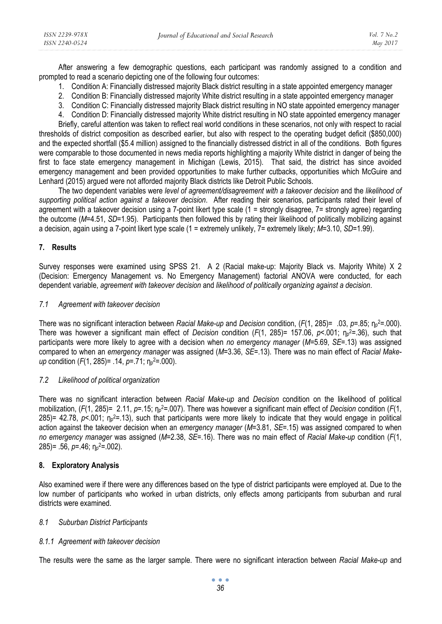After answering a few demographic questions, each participant was randomly assigned to a condition and prompted to read a scenario depicting one of the following four outcomes:

- 1. Condition A: Financially distressed majority Black district resulting in a state appointed emergency manager
- 2. Condition B: Financially distressed majority White district resulting in a state appointed emergency manager
- 3. Condition C: Financially distressed majority Black district resulting in NO state appointed emergency manager
- 4. Condition D: Financially distressed majority White district resulting in NO state appointed emergency manager

Briefly, careful attention was taken to reflect real world conditions in these scenarios, not only with respect to racial thresholds of district composition as described earlier, but also with respect to the operating budget deficit (\$850,000) and the expected shortfall (\$5.4 million) assigned to the financially distressed district in all of the conditions. Both figures were comparable to those documented in news media reports highlighting a majority White district in danger of being the first to face state emergency management in Michigan (Lewis, 2015). That said, the district has since avoided emergency management and been provided opportunities to make further cutbacks, opportunities which McGuire and Lenhard (2015) argued were not afforded majority Black districts like Detroit Public Schools.

The two dependent variables were *level of agreement/disagreement with a takeover decision* and the *likelihood of supporting political action against a takeover decision*. After reading their scenarios, participants rated their level of agreement with a takeover decision using a 7-point likert type scale (1 = strongly disagree, 7= strongly agree) regarding the outcome (*M*=4.51, *SD*=1.95). Participants then followed this by rating their likelihood of politically mobilizing against a decision, again using a 7-point likert type scale (1 = extremely unlikely, 7= extremely likely; *M*=3.10, *SD*=1.99).

## **7. Results**

Survey responses were examined using SPSS 21. A 2 (Racial make-up: Majority Black vs. Majority White) X 2 (Decision: Emergency Management vs. No Emergency Management) factorial ANOVA were conducted, for each dependent variable, *agreement with takeover decision* and *likelihood of politically organizing against a decision*.

#### *7.1 Agreement with takeover decision*

There was no significant interaction between *Racial Make-up* and *Decision* condition, (*F*(1, 285)= .03, *p*=.85; η<sup>p</sup> 2=.000). There was however a significant main effect of *Decision* condition (*F*(1, 285)= 157.06, *p*<.001; η<sup>p</sup> 2=.36), such that participants were more likely to agree with a decision when *no emergency manager* (*M*=5.69, *SE*=.13) was assigned compared to when an *emergency manager* was assigned (*M*=3.36, *SE*=.13). There was no main effect of *Racial Makeup* condition (*F*(1, 285) = .14, *p*=.71; η<sub>p</sub><sup>2</sup>=.000).

## *7.2 Likelihood of political organization*

There was no significant interaction between *Racial Make-up* and *Decision* condition on the likelihood of political mobilization, (*F*(1, 285)= 2.11, *p*=.15; η<sup>p</sup> 2=.007). There was however a significant main effect of *Decision* condition (*F*(1, 285)= 42.78,  $p$ <.001;  $\eta_p$ <sup>2</sup>=.13), such that participants were more likely to indicate that they would engage in political action against the takeover decision when an *emergency manager* (*M*=3.81, *SE*=.15) was assigned compared to when *no emergency manager* was assigned (*M*=2.38, *SE*=.16). There was no main effect of *Racial Make-up* condition (*F*(1, 285)= .56, *p*=.46; η<sup>p</sup> 2=.002).

## **8. Exploratory Analysis**

Also examined were if there were any differences based on the type of district participants were employed at. Due to the low number of participants who worked in urban districts, only effects among participants from suburban and rural districts were examined.

## *8.1 Suburban District Participants*

## *8.1.1 Agreement with takeover decision*

The results were the same as the larger sample. There were no significant interaction between *Racial Make-up* and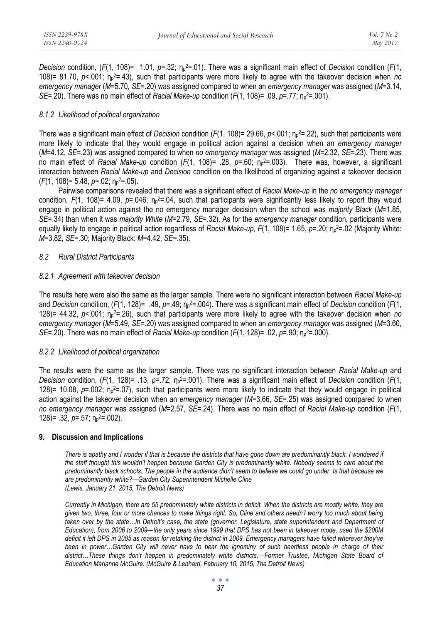*Decision* condition, (*F*(1, 108)= 1.01, *p*=.32; η<sup>p</sup> 2=.01). There was a significant main effect of *Decision* condition (*F*(1, 108)= 81.70, *p*<.001; η<sup>p</sup> 2=.43), such that participants were more likely to agree with the takeover decision when *no emergency manager* (*M*=5.70, *SE*=.20) was assigned compared to when an *emergency manager* was assigned (*M*=3.14, *SE*=.20). There was no main effect of *Racial Make-up* condition (*F*(1, 108)= .09, *p*=.77; η<sup>p</sup> 2=.001).

## *8.1.2 Likelihood of political organization*

There was a significant main effect of *Decision* condition (*F*(1, 108)= 29.66, *p*<.001; η<sup>p</sup> 2=.22), such that participants were more likely to indicate that they would engage in political action against a decision when an *emergency manager* (*M*=4.12, *SE*=.23) was assigned compared to when *no emergency manager* was assigned (*M*=2.32, *SE*=.23). There was no main effect of *Racial Make-up* condition (*F*(1, 108)= .28, *p*=.60; η<sup>p</sup> 2=.003). There was, however, a significant interaction between *Racial Make-up* and *Decision* condition on the likelihood of organizing against a takeover decision (*F*(1, 108)= 5.48, *p*=.02; η<sup>p</sup> 2=.05).

Pairwise comparisons revealed that there was a significant effect of *Racial Make-up* in the *no emergency manager*  condition, *F*(1, 108)= 4.09, *p*=.046; η<sup>p</sup> 2=.04, such that participants were significantly less likely to report they would engage in political action against the no emergency manager decision when the school was *majority Black* (*M*=1.85, *SE*=.34) than when it was *majority White* (*M*=2.79, *SE*=.32). As for the *emergency manager* condition, participants were equally likely to engage in political action regardless of *Racial Make-up, F*(1, 108)= 1.65, *p*=.20; η<sup>p</sup> 2=.02 (Majority White: *M*=3.82, *SE*=.30; Majority Black: *M*=4.42, *SE*=.35).

## *8.2 Rural District Participants*

#### *8.2.1 Agreement with takeover decision*

The results here were also the same as the larger sample. There were no significant interaction between *Racial Make-up*  and *Decision* condition, (*F*(1, 128)= .49, *p*=.49; η<sup>p</sup> 2=.004). There was a significant main effect of *Decision* condition (*F*(1, 128)= 44.32, *p*<.001; η<sup>p</sup> 2=.26), such that participants were more likely to agree with the takeover decision when *no emergency manager* (*M*=5.49, *SE*=.20) was assigned compared to when an *emergency manager* was assigned (*M*=3.60, *SE*=.20). There was no main effect of *Racial Make-up* condition (*F*(1, 128)= .02, *p*=.90; η<sup>p</sup> 2=.000).

## *8.2.2 Likelihood of political organization*

The results were the same as the larger sample. There was no significant interaction between *Racial Make-up* and *Decision* condition, (*F*(1, 128)= .13, *p*=.72; η<sup>p</sup> 2=.001). There was a significant main effect of *Decision* condition (*F*(1, 128)= 10.08,  $p=0.02$ ;  $\eta_p^2=0.07$ ), such that participants were more likely to indicate that they would engage in political action against the takeover decision when an *emergency manager* (*M*=3.66, *SE*=.25) was assigned compared to when *no emergency manager* was assigned (*M*=2.57, *SE*=.24). There was no main effect of *Racial Make-up* condition (*F*(1, 128) = .32, *p*=.57; η<sub>ρ</sub><sup>2</sup>=.002).

#### **9. Discussion and Implications**

There is apathy and I wonder if that is because the districts that have gone down are predominantly black. I wondered if *the staff thought this wouldn't happen because Garden City is predominantly white. Nobody seems to care about the predominantly black schools. The people in the audience didn't seem to believe we could go under. Is that because we are predominantly white?—Garden City Superintendent Michelle Cline (Lewis, January 21, 2015, The Detroit News)* 

*Currently in Michigan, there are 55 predominately white districts in deficit. When the districts are mostly white, they are given two, three, four or more chances to make things right. So, Cline and others needn't worry too much about being taken over by the state…In Detroit's case, the state (governor, Legislature, state superintendent and Department of Education), from 2006 to 2009—the only years since 1999 that DPS has not been in takeover mode, used the \$200M deficit it left DPS in 2005 as reason for retaking the district in 2009. Emergency managers have failed wherever they've been in power…Garden City will never have to bear the ignominy of such heartless people in charge of their district…These things don't happen in predominately white districts.—Former Trustee, Michigan State Board of Education Marianne McGuire. (McGuire & Lenhard, February 10, 2015, The Detroit News)*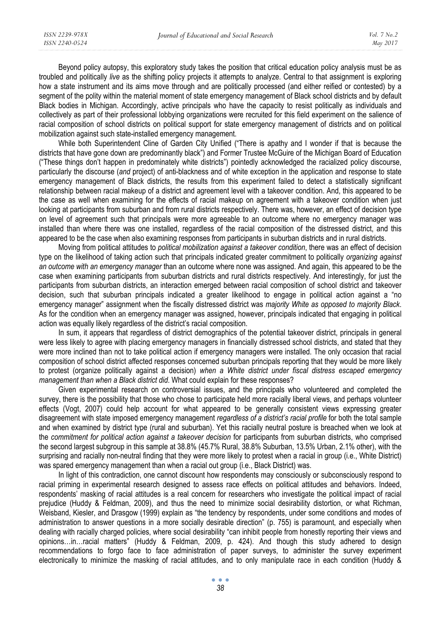Beyond policy autopsy, this exploratory study takes the position that critical education policy analysis must be as troubled and politically *live* as the shifting policy projects it attempts to analyze. Central to that assignment is exploring how a state instrument and its aims move through and are politically processed (and either reified or contested) by a segment of the polity within the material moment of state emergency management of Black school districts and by default Black bodies in Michigan. Accordingly, active principals who have the capacity to resist politically as individuals and collectively as part of their professional lobbying organizations were recruited for this field experiment on the salience of racial composition of school districts on political support for state emergency management of districts and on political mobilization against such state-installed emergency management.

While both Superintendent Cline of Garden City Unified ("There is apathy and I wonder if that is because the districts that have gone down are predominantly black") and Former Trustee McGuire of the Michigan Board of Education ("These things don't happen in predominately white districts") pointedly acknowledged the racialized policy discourse, particularly the discourse (*and* project) of anti-blackness and of white exception in the application and response to state emergency management of Black districts, the results from this experiment failed to detect a statistically significant relationship between racial makeup of a district and agreement level with a takeover condition. And, this appeared to be the case as well when examining for the effects of racial makeup on agreement with a takeover condition when just looking at participants from suburban and from rural districts respectively. There was, however, an effect of decision type on level of agreement such that principals were more agreeable to an outcome where no emergency manager was installed than where there was one installed, regardless of the racial composition of the distressed district, and this appeared to be the case when also examining responses from participants in suburban districts and in rural districts.

Moving from political attitudes to *political mobilization against a takeover condition*, there was an effect of decision type on the likelihood of taking action such that principals indicated greater commitment to politically *organizing against an outcome with an emergency manager* than an outcome where none was assigned. And again, this appeared to be the case when examining participants from suburban districts and rural districts respectively. And interestingly, for just the participants from suburban districts, an interaction emerged between racial composition of school district and takeover decision, such that suburban principals indicated a greater likelihood to engage in political action against a "no emergency manager" assignment when the fiscally distressed district was *majority White as opposed to majority Black*. As for the condition when an emergency manager was assigned, however, principals indicated that engaging in political action was equally likely regardless of the district's racial composition.

In sum, it appears that regardless of district demographics of the potential takeover district, principals in general were less likely to agree with placing emergency managers in financially distressed school districts, and stated that they were more inclined than not to take political action if emergency managers were installed. The only occasion that racial composition of school district affected responses concerned suburban principals reporting that they would be more likely to protest (organize politically against a decision) *when a White district under fiscal distress escaped emergency management than when a Black district did*. What could explain for these responses?

Given experimental research on controversial issues, and the principals who volunteered and completed the survey, there is the possibility that those who chose to participate held more racially liberal views, and perhaps volunteer effects (Vogt, 2007) could help account for what appeared to be generally consistent views expressing greater disagreement with state imposed emergency management *regardless of a district's racial profile* for both the total sample and when examined by district type (rural and suburban). Yet this racially neutral posture is breached when we look at the *commitment for political action against a takeover decision* for participants from suburban districts, who comprised the second largest subgroup in this sample at 38.8% (45.7% Rural, 38.8% Suburban, 13.5% Urban, 2.1% other), with the surprising and racially non-neutral finding that they were more likely to protest when a racial in group (i.e., White District) was spared emergency management than when a racial out group (i.e., Black District) was.

In light of this contradiction, one cannot discount how respondents may consciously or subconsciously respond to racial priming in experimental research designed to assess race effects on political attitudes and behaviors. Indeed, respondents' masking of racial attitudes is a real concern for researchers who investigate the political impact of racial prejudice (Huddy & Feldman, 2009), and thus the need to minimize social desirability distortion, or what Richman, Weisband, Kiesler, and Drasgow (1999) explain as "the tendency by respondents, under some conditions and modes of administration to answer questions in a more socially desirable direction" (p. 755) is paramount, and especially when dealing with racially charged policies, where social desirability "can inhibit people from honestly reporting their views and opinions…in…racial matters" (Huddy & Feldman, 2009, p. 424). And though this study adhered to design recommendations to forgo face to face administration of paper surveys, to administer the survey experiment electronically to minimize the masking of racial attitudes, and to only manipulate race in each condition (Huddy &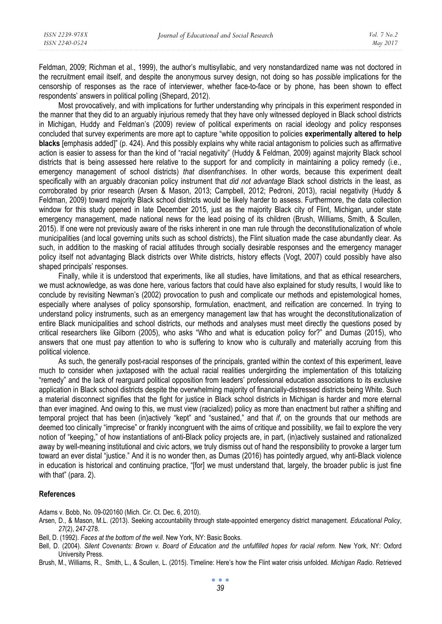Feldman, 2009; Richman et al., 1999), the author's multisyllabic, and very nonstandardized name was not doctored in the recruitment email itself, and despite the anonymous survey design, not doing so has *possible* implications for the censorship of responses as the race of interviewer, whether face-to-face or by phone, has been shown to effect respondents' answers in political polling (Shepard, 2012).

Most provocatively, and with implications for further understanding why principals in this experiment responded in the manner that they did to an arguably injurious remedy that they have only witnessed deployed in Black school districts in Michigan, Huddy and Feldman's (2009) review of political experiments on racial ideology and policy responses concluded that survey experiments are more apt to capture "white opposition to policies **experimentally altered to help blacks** [emphasis added]" (p. 424). And this possibly explains why white racial antagonism to policies such as affirmative action is easier to assess for than the kind of "racial negativity" (Huddy & Feldman, 2009) against majority Black school districts that is being assessed here relative to the support for and complicity in maintaining a policy remedy (i.e., emergency management of school districts) *that disenfranchises*. In other words, because this experiment dealt specifically with an arguably draconian policy instrument that *did not advantage* Black school districts in the least, as corroborated by prior research (Arsen & Mason, 2013; Campbell, 2012; Pedroni, 2013), racial negativity (Huddy & Feldman, 2009) toward majority Black school districts would be likely harder to assess. Furthermore, the data collection window for this study opened in late December 2015, just as the majority Black city of Flint, Michigan, under state emergency management, made national news for the lead poising of its children (Brush, Williams, Smith, & Scullen, 2015). If one were not previously aware of the risks inherent in one man rule through the deconstitutionalization of whole municipalities (and local governing units such as school districts), the Flint situation made the case abundantly clear. As such, in addition to the masking of racial attitudes through socially desirable responses and the emergency manager policy itself not advantaging Black districts over White districts, history effects (Vogt, 2007) could possibly have also shaped principals' responses.

Finally, while it is understood that experiments, like all studies, have limitations, and that as ethical researchers, we must acknowledge, as was done here, various factors that could have also explained for study results, I would like to conclude by revisiting Newman's (2002) provocation to push and complicate our methods and epistemological homes, especially where analyses of policy sponsorship, formulation, enactment, and reification are concerned. In trying to understand policy instruments, such as an emergency management law that has wrought the deconstitutionalization of entire Black municipalities and school districts, our methods and analyses must meet directly the questions posed by critical researchers like Gilborn (2005), who asks "Who and what is education policy for?" and Dumas (2015), who answers that one must pay attention to who is suffering to know who is culturally and materially accruing from this political violence.

As such, the generally post-racial responses of the principals, granted within the context of this experiment, leave much to consider when juxtaposed with the actual racial realities undergirding the implementation of this totalizing "remedy" and the lack of rearguard political opposition from leaders' professional education associations to its exclusive application in Black school districts despite the overwhelming majority of financially-distressed districts being White. Such a material disconnect signifies that the fight for justice in Black school districts in Michigan is harder and more eternal than ever imagined. And owing to this, we must view (racialized) policy as more than enactment but rather a shifting and temporal project that has been (in)actively "kept" and "sustained," and that *if*, on the grounds that our methods are deemed too clinically "imprecise" or frankly incongruent with the aims of critique and possibility, we fail to explore the very notion of "keeping," of how instantiations of anti-Black policy projects are, in part, (in)actively sustained and rationalized away by well-meaning institutional and civic actors, we truly dismiss out of hand the responsibility to provoke a larger turn toward an ever distal "justice." And it is no wonder then, as Dumas (2016) has pointedly argued, why anti-Black violence in education is historical and continuing practice, "[for] we must understand that, largely, the broader public is just fine with that" (para. 2).

## **References**

Adams v. Bobb, No. 09-020160 (Mich. Cir. Ct. Dec. 6, 2010).

- Arsen, D., & Mason, M.L. (2013). Seeking accountability through state-appointed emergency district management. *Educational Policy*, *27*(2), 247-278.
- Bell, D. (1992). *Faces at the bottom of the well*. New York, NY: Basic Books.
- Bell, D. (2004). *Silent Covenants: Brown v. Board of Education and the unfulfilled hopes for racial reform.* New York, NY: Oxford University Press.
- Brush, M., Williams, R., Smith, L., & Scullen, L. (2015). Timeline: Here's how the Flint water crisis unfolded. *Michigan Radio*. Retrieved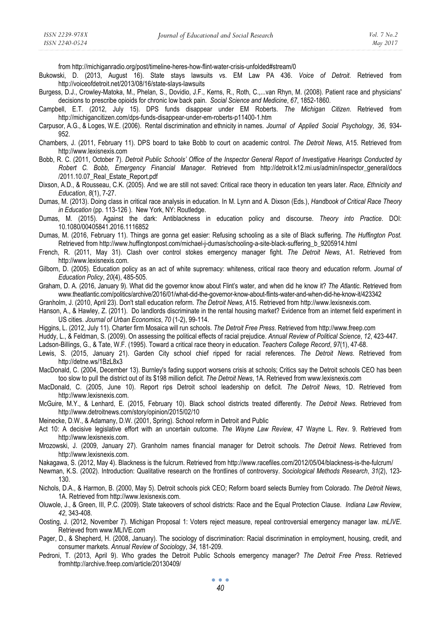*Vol. 7 No.2 May 2017* 

- Bukowski, D. (2013, August 16). State stays lawsuits vs. EM Law PA 436. *Voice of Detroit*. Retrieved from http://voiceofdetroit.net/2013/08/16/state-slays-lawsuits
- Burgess, D.J., Crowley-Matoka, M., Phelan, S., Dovidio, J.F., Kerns, R., Roth, C.,...van Rhyn, M. (2008). Patient race and physicians' decisions to prescribe opioids for chronic low back pain. *Social Science and Medicine*, *67*, 1852-1860.
- Campbell, E.T. (2012, July 15). DPS funds disappear under EM Roberts. *The Michigan Citizen*. Retrieved from http://michigancitizen.com/dps-funds-disappear-under-em-roberts-p11400-1.htm
- Carpusor, A.G., & Loges, W.E. (2006). Rental discrimination and ethnicity in names. *Journal of Applied Social Psychology*, *36*, 934- 952.
- Chambers, J. (2011, February 11). DPS board to take Bobb to court on academic control. *The Detroit News*, A15. Retrieved from http://www.lexisnexis.com
- Bobb, R. C. (2011, October 7). *Detroit Public Schools' Office of the Inspector General Report of Investigative Hearings Conducted by Robert C. Bobb, Emergency Financial Manager*. Retrieved from http://detroit.k12.mi.us/admin/inspector\_general/docs /2011.10.07 Real Estate Report.pdf
- Dixson, A.D., & Rousseau, C.K. (2005). And we are still not saved: Critical race theory in education ten years later. *Race, Ethnicity and Education*, *8*(1), 7-27.
- Dumas, M. (2013). Doing class in critical race analysis in education. In M. Lynn and A. Dixson (Eds.), *Handbook of Critical Race Theory in Education* (pp. 113-126 ). New York, NY: Routledge.
- Dumas, M. (2015). Against the dark: Antiblackness in education policy and discourse. *Theory into Practice*. DOI: 10.1080/00405841.2016.1116852
- Dumas, M. (2016, February 11). Things are gonna get easier: Refusing schooling as a site of Black suffering. *The Huffington Post*. Retrieved from http://www.huffingtonpost.com/michael-j-dumas/schooling-a-site-black-suffering\_b\_9205914.html
- French, R. (2011, May 31). Clash over control stokes emergency manager fight. *The Detroit News*, A1. Retrieved from http://www.lexisnexis.com.
- Gilborn, D. (2005). Education policy as an act of white supremacy: whiteness, critical race theory and education reform. *Journal of Education Policy*, *20*(4), 485-505.
- Graham, D. A. (2016, January 9). What did the governor know about Flint's water, and when did he know it? *The Atlantic*. Retrieved from www.theatlantic.com/politics/archive/2016/01/what-did-the-governor-know-about-flints-water-and-when-did-he-know-it/423342
- Granholm, J. (2010, April 23). Don't stall education reform. *The Detroit News*, A15. Retrieved from http://www.lexisnexis.com.
- Hanson, A., & Hawley, Z. (2011). Do landlords discriminate in the rental housing market? Evidence from an internet field experiment in US cities. *Journal of Urban Economics*, *70* (1-2), 99-114.
- Higgins, L. (2012, July 11). Charter firm Mosaica will run schools. *The Detroit Free Press*. Retrieved from http://www.freep.com
- Huddy, L., & Feldman, S. (2009). On assessing the political effects of racial prejudice. *Annual Review of Political Science*, *12*, 423-447.

Ladson-Billings, G., & Tate, W.F. (1995). Toward a critical race theory in education. *Teachers College Record*, *97*(1), 47-68.

- Lewis, S. (2015, January 21). Garden City school chief ripped for racial references. *The Detroit News*. Retrieved from http://detne.ws/1BzL8x3
- MacDonald, C. (2004, December 13). Burnley's fading support worsens crisis at schools; Critics say the Detroit schools CEO has been too slow to pull the district out of its \$198 million deficit. *The Detroit News*, 1A. Retrieved from www.lexisnexis.com
- MacDonald, C. (2005, June 10). Report rips Detroit school leadership on deficit. *The Detroit News*, 1D. Retrieved from http://www.lexisnexis.com.
- McGuire, M.Y., & Lenhard, E. (2015, February 10). Black school districts treated differently. *The Detroit News*. Retrieved from http://www.detroitnews.com/story/opinion/2015/02/10
- Meinecke, D.W., & Adamany, D.W. (2001, Spring). School reform in Detroit and Public
- Act 10: A decisive legislative effort with an uncertain outcome. *The Wayne Law Review*, 47 Wayne L. Rev. 9. Retrieved from http://www.lexisnexis.com.
- Mrozowski, J. (2009, January 27). Granholm names financial manager for Detroit schools. *The Detroit News*. Retrieved from http://www.lexisnexis.com.
- Nakagawa, S. (2012, May 4). Blackness is the fulcrum. Retrieved from http://www.racefiles.com/2012/05/04/blackness-is-the-fulcrum/
- Newman, K.S. (2002). Introduction: Qualitative research on the frontlines of controversy. *Sociological Methods Research*, *31*(2), 123- 130.
- Nichols, D.A., & Harmon, B. (2000, May 5). Detroit schools pick CEO; Reform board selects Burnley from Colorado. *The Detroit News*, 1A. Retrieved from http://www.lexisnexis.com.
- Oluwole, J., & Green, III, P.C. (2009). State takeovers of school districts: Race and the Equal Protection Clause. *Indiana Law Review*, *42*, 343-408.
- Oosting, J. (2012, November 7). Michigan Proposal 1: Voters reject measure, repeal controversial emergency manager law. *mLIVE*. Retrieved from www.MLIVE.com
- Pager, D., & Shepherd, H. (2008, January). The sociology of discrimination: Racial discrimination in employment, housing, credit, and consumer markets. *Annual Review of Sociology*, *34*, 181-209.
- Pedroni, T. (2013, April 9). Who grades the Detroit Public Schools emergency manager? *The Detroit Free Press*. Retrieved fromhttp://archive.freep.com/article/20130409/